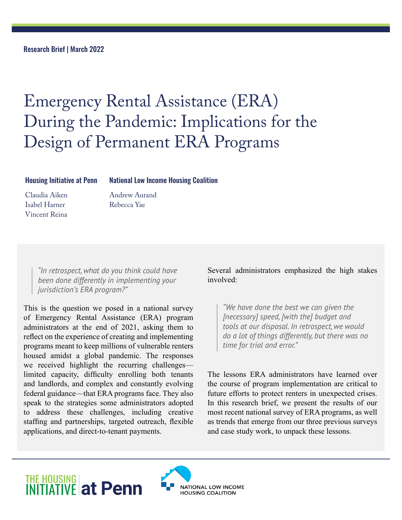Research Brief | March 2022

# Emergency Rental Assistance (ERA) During the Pandemic: Implications for the Design of Permanent ERA Programs

#### Housing Initiative at Penn

National Low Income Housing Coalition

Claudia Aiken Isabel Harner Vincent Reina Andrew Aurand Rebecca Yae

*"In retrospect, what do you think could have been done differently in implementing your jurisdiction's ERA program?"*

This is the question we posed in a national survey of Emergency Rental Assistance (ERA) program administrators at the end of 2021, asking them to reflect on the experience of creating and implementing programs meant to keep millions of vulnerable renters housed amidst a global pandemic. The responses we received highlight the recurring challenges limited capacity, difficulty enrolling both tenants and landlords, and complex and constantly evolving federal guidance—that ERA programs face. They also speak to the strategies some administrators adopted to address these challenges, including creative staffing and partnerships, targeted outreach, flexible applications, and direct-to-tenant payments.

Several administrators emphasized the high stakes involved:

*"We have done the best we can given the [necessary] speed, [with the] budget and tools at our disposal. In retrospect, we would do a lot of things differently, but there was no time for trial and error."*

The lessons ERA administrators have learned over the course of program implementation are critical to future efforts to protect renters in unexpected crises. In this research brief, we present the results of our most recent national survey of ERA programs, as well as trends that emerge from our three previous surveys and case study work, to unpack these lessons.

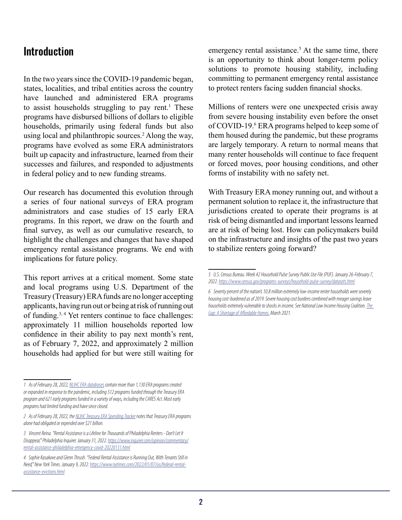### **Introduction**

In the two years since the COVID-19 pandemic began, states, localities, and tribal entities across the country have launched and administered ERA programs to assist households struggling to pay rent.<sup>1</sup> These programs have disbursed billions of dollars to eligible households, primarily using federal funds but also using local and philanthropic sources.<sup>2</sup> Along the way, programs have evolved as some ERA administrators built up capacity and infrastructure, learned from their successes and failures, and responded to adjustments in federal policy and to new funding streams.

Our research has documented this evolution through a series of four national surveys of ERA program administrators and case studies of 15 early ERA programs. In this report, we draw on the fourth and final survey, as well as our cumulative research, to highlight the challenges and changes that have shaped emergency rental assistance programs. We end with implications for future policy.

This report arrives at a critical moment. Some state and local programs using U.S. Department of the Treasury (Treasury) ERA funds are no longer accepting applicants, having run out or being at risk of running out of funding.3, 4 Yet renters continue to face challenges: approximately 11 million households reported low confidence in their ability to pay next month's rent, as of February 7, 2022, and approximately 2 million households had applied for but were still waiting for

emergency rental assistance.<sup>5</sup> At the same time, there is an opportunity to think about longer-term policy solutions to promote housing stability, including committing to permanent emergency rental assistance to protect renters facing sudden financial shocks.

Millions of renters were one unexpected crisis away from severe housing instability even before the onset of COVID-19.<sup>6</sup> ERA programs helped to keep some of them housed during the pandemic, but these programs are largely temporary. A return to normal means that many renter households will continue to face frequent or forced moves, poor housing conditions, and other forms of instability with no safety net.

With Treasury ERA money running out, and without a permanent solution to replace it, the infrastructure that jurisdictions created to operate their programs is at risk of being dismantled and important lessons learned are at risk of being lost. How can policymakers build on the infrastructure and insights of the past two years to stabilize renters going forward?

*<sup>1</sup> As of February 28, 2022, [NLIHC ERA databases](https://docs.google.com/spreadsheets/d/1hLfybfo9NydIptQu5wghUpKXecimh3gaoqT7LU1JGc8/edit#gid=79194074) contain more than 1,130 ERA programs created or expanded in response to the pandemic, including 512 programs funded through the Treasury ERA program and 621 early programs funded in a variety of ways, including the CARES Act. Most early programs had limited funding and have since closed.*

*<sup>2</sup> As of February 28, 2022, the [NLIHC Treasury ERA Spending Tracker](https://docs.google.com/spreadsheets/d/1RnHX7Ld7KJ_jgj8Sk52xjCygYRETwU-OthOGE3uduHM/edit#gid=0) notes that Treasury ERA programs alone had obligated or expended over \$21 billion.*

*<sup>3</sup> Vincent Reina. "Rental Assistance is a Lifeline for Thousands of Philadelphia Renters - Don't Let It Disappear," Philadelphia Inquirer. January 31, 2022. [https://www.inquirer.com/opinion/commentary/](https://www.inquirer.com/opinion/commentary/rental-assistance-philadelphia-emergency-covid-20220131.html) [rental-assistance-philadelphia-emergency-covid-20220131.html](https://www.inquirer.com/opinion/commentary/rental-assistance-philadelphia-emergency-covid-20220131.html)*

*<sup>4</sup> Sophie Kasakove and Glenn Thrush. "Federal Rental Assistance is Running Out, With Tenants Still in Need," New York Times. January 9, 2022. [https://www.nytimes.com/2022/01/07/us/federal-rental](https://www.nytimes.com/2022/01/07/us/federal-rental-assistance-evictions.html)[assistance-evictions.html](https://www.nytimes.com/2022/01/07/us/federal-rental-assistance-evictions.html)*

*<sup>5</sup> U.S. Census Bureau. Week 42 Household Pulse Survey Public Use File (PUF). January 26-February 7, 2022.<https://www.census.gov/programs-surveys/household-pulse-survey/datasets.html>*

*<sup>6</sup> Seventy percent of the nation's 10.8 million extremely low-income renter households were severely housing cost-burdened as of 2019. Severe housing cost burdens combined with meager savings leave households extremely vulnerable to shocks in income. See National Low Income Housing Coalition. [The](https://reports.nlihc.org/sites/default/files/gap/Gap-Report_2021.pdf)  [Gap: A Shortage of Affordable Homes.](https://reports.nlihc.org/sites/default/files/gap/Gap-Report_2021.pdf) March 2021.*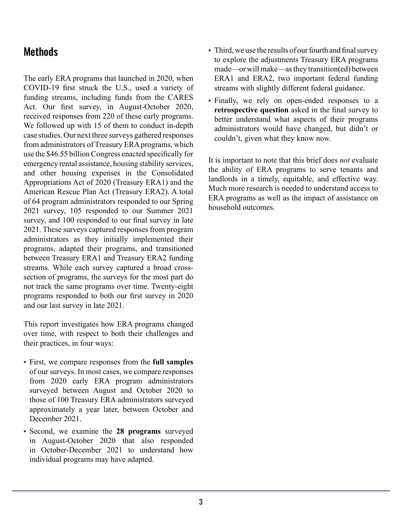### **Methods**

The early ERA programs that launched in 2020, when COVID-19 first struck the U.S., used a variety of funding streams, including funds from the CARES Act. Our first survey, in August-October 2020, received responses from 220 of these early programs. We followed up with 15 of them to conduct in-depth case studies. Our next three surveys gathered responses from administrators of Treasury ERA programs, which use the \$46.55 billion Congress enacted specifically for emergency rental assistance, housing stability services, and other housing expenses in the Consolidated Appropriations Act of 2020 (Treasury ERA1) and the American Rescue Plan Act (Treasury ERA2). A total of 64 program administrators responded to our Spring 2021 survey, 105 responded to our Summer 2021 survey, and 100 responded to our final survey in late 2021. These surveys captured responses from program administrators as they initially implemented their programs, adapted their programs, and transitioned between Treasury ERA1 and Treasury ERA2 funding streams. While each survey captured a broad crosssection of programs, the surveys for the most part do not track the same programs over time. Twenty-eight programs responded to both our first survey in 2020 and our last survey in late 2021.

This report investigates how ERA programs changed over time, with respect to both their challenges and their practices, in four ways:

- **•** First, we compare responses from the **full samples** of our surveys. In most cases, we compare responses from 2020 early ERA program administrators surveyed between August and October 2020 to those of 100 Treasury ERA administrators surveyed approximately a year later, between October and December 2021.
- **•** Second, we examine the **28 programs** surveyed in August-October 2020 that also responded in October-December 2021 to understand how individual programs may have adapted.
- **•** Third, we use the results of our fourth and final survey to explore the adjustments Treasury ERA programs made—or will make—as they transition(ed) between ERA1 and ERA2, two important federal funding streams with slightly different federal guidance.
- **•** Finally, we rely on open-ended responses to a **retrospective question** asked in the final survey to better understand what aspects of their programs administrators would have changed, but didn't or couldn't, given what they know now.

It is important to note that this brief does *not* evaluate the ability of ERA programs to serve tenants and landlords in a timely, equitable, and effective way. Much more research is needed to understand access to ERA programs as well as the impact of assistance on household outcomes.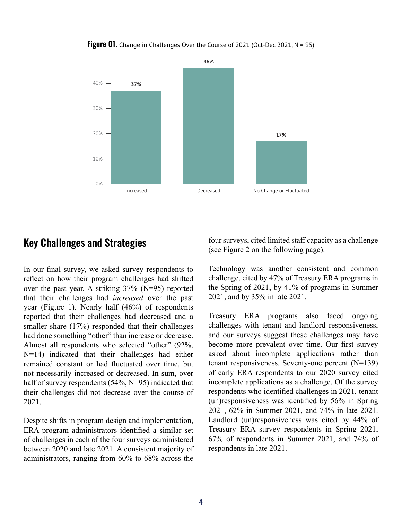

**Figure 01.** Change in Challenges Over the Course of 2021 (Oct-Dec 2021, N = 95)

### Key Challenges and Strategies

In our final survey, we asked survey respondents to reflect on how their program challenges had shifted over the past year. A striking 37% (N=95) reported that their challenges had *increased* over the past year (Figure 1). Nearly half (46%) of respondents reported that their challenges had decreased and a smaller share (17%) responded that their challenges had done something "other" than increase or decrease. Almost all respondents who selected "other" (92%, N=14) indicated that their challenges had either remained constant or had fluctuated over time, but not necessarily increased or decreased. In sum, over half of survey respondents (54%, N=95) indicated that their challenges did not decrease over the course of 2021.

Despite shifts in program design and implementation, ERA program administrators identified a similar set of challenges in each of the four surveys administered between 2020 and late 2021. A consistent majority of administrators, ranging from 60% to 68% across the four surveys, cited limited staff capacity as a challenge (see Figure 2 on the following page).

Technology was another consistent and common challenge, cited by 47% of Treasury ERA programs in the Spring of 2021, by 41% of programs in Summer 2021, and by 35% in late 2021.

Treasury ERA programs also faced ongoing challenges with tenant and landlord responsiveness, and our surveys suggest these challenges may have become more prevalent over time. Our first survey asked about incomplete applications rather than tenant responsiveness. Seventy-one percent (N=139) of early ERA respondents to our 2020 survey cited incomplete applications as a challenge. Of the survey respondents who identified challenges in 2021, tenant (un)responsiveness was identified by 56% in Spring 2021, 62% in Summer 2021, and 74% in late 2021. Landlord (un)responsiveness was cited by 44% of Treasury ERA survey respondents in Spring 2021, 67% of respondents in Summer 2021, and 74% of respondents in late 2021.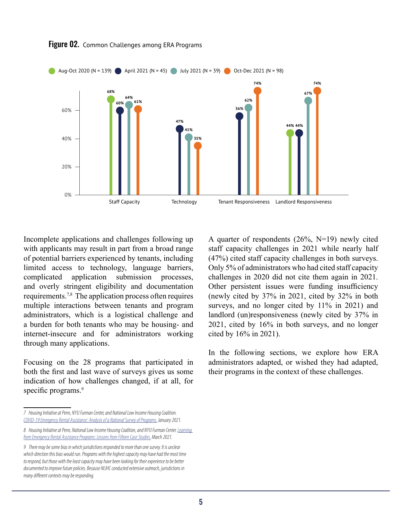

Figure 02. Common Challenges among ERA Programs

Incomplete applications and challenges following up with applicants may result in part from a broad range of potential barriers experienced by tenants, including limited access to technology, language barriers, complicated application submission processes, and overly stringent eligibility and documentation requirements.7,8 The application process often requires multiple interactions between tenants and program administrators, which is a logistical challenge and a burden for both tenants who may be housing- and internet-insecure and for administrators working through many applications.

Focusing on the 28 programs that participated in both the first and last wave of surveys gives us some indication of how challenges changed, if at all, for specific programs.<sup>9</sup>

A quarter of respondents (26%, N=19) newly cited staff capacity challenges in 2021 while nearly half (47%) cited staff capacity challenges in both surveys. Only 5% of administrators who had cited staff capacity challenges in 2020 did not cite them again in 2021. Other persistent issues were funding insufficiency (newly cited by 37% in 2021, cited by 32% in both surveys, and no longer cited by 11% in 2021) and landlord (un)responsiveness (newly cited by 37% in 2021, cited by 16% in both surveys, and no longer cited by 16% in 2021).

In the following sections, we explore how ERA administrators adapted, or wished they had adapted, their programs in the context of these challenges.

*<sup>7</sup> Housing Initiative at Penn, NYU Furman Center, and National Low Income Housing Coalition. [COVID-19 Emergency Rental Assistance: Analysis of a National Survey of Programs.](https://nlihc.org/sites/default/files/HIP_NLIHC_Furman_Brief_FINAL.pdf) January 2021.*

*<sup>8</sup> Housing Initiative at Penn, National Low Income Housing Coalition, and NYU Furman Center. [Learning](https://nlihc.org/sites/default/files/ERA-Programs-Case-Study.pdf)  [from Emergency Rental Assistance Programs: Lessons from Fifteen Case Studies.](https://nlihc.org/sites/default/files/ERA-Programs-Case-Study.pdf) March 2021.*

*<sup>9</sup> There may be some bias in which jurisdictions responded to more than one survey. It is unclear which direction this bias would run. Programs with the highest capacity may have had the most time to respond, but those with the least capacity may have been looking for their experience to be better documented to improve future policies. Because NLIHC conducted extensive outreach, jurisdictions in many different contexts may be responding.*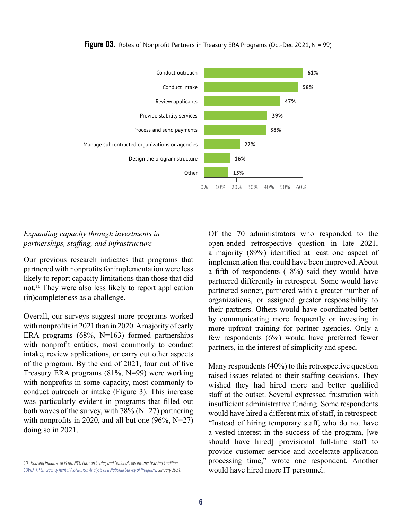

**Figure 03.** Roles of Nonprofit Partners in Treasury ERA Programs (Oct-Dec 2021,  $N = 99$ )

#### *Expanding capacity through investments in partnerships, staffing, and infrastructure*

Our previous research indicates that programs that partnered with nonprofits for implementation were less likely to report capacity limitations than those that did not.10 They were also less likely to report application (in)completeness as a challenge.

Overall, our surveys suggest more programs worked with nonprofits in 2021 than in 2020. A majority of early ERA programs (68%, N=163) formed partnerships with nonprofit entities, most commonly to conduct intake, review applications, or carry out other aspects of the program. By the end of 2021, four out of five Treasury ERA programs (81%, N=99) were working with nonprofits in some capacity, most commonly to conduct outreach or intake (Figure 3). This increase was particularly evident in programs that filled out both waves of the survey, with 78% (N=27) partnering with nonprofits in 2020, and all but one  $(96\%, N=27)$ doing so in 2021.

Of the 70 administrators who responded to the open-ended retrospective question in late 2021, a majority (89%) identified at least one aspect of implementation that could have been improved. About a fifth of respondents (18%) said they would have partnered differently in retrospect. Some would have partnered sooner, partnered with a greater number of organizations, or assigned greater responsibility to their partners. Others would have coordinated better by communicating more frequently or investing in more upfront training for partner agencies. Only a few respondents (6%) would have preferred fewer partners, in the interest of simplicity and speed.

Many respondents (40%) to this retrospective question raised issues related to their staffing decisions. They wished they had hired more and better qualified staff at the outset. Several expressed frustration with insufficient administrative funding. Some respondents would have hired a different mix of staff, in retrospect: "Instead of hiring temporary staff, who do not have a vested interest in the success of the program, [we should have hired] provisional full-time staff to provide customer service and accelerate application processing time," wrote one respondent. Another would have hired more IT personnel.

*<sup>10</sup> Housing Initiative at Penn, NYU Furman Center, and National Low Income Housing Coalition. [COVID-19 Emergency Rental Assistance: Analysis of a National Survey of Programs.](https://nlihc.org/sites/default/files/HIP_NLIHC_Furman_Brief_FINAL.pdf) January 2021.*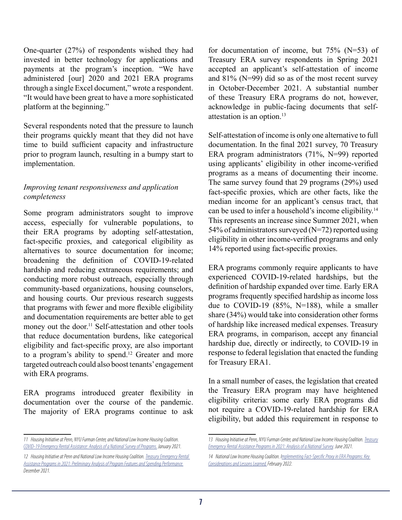One-quarter (27%) of respondents wished they had invested in better technology for applications and payments at the program's inception. "We have administered [our] 2020 and 2021 ERA programs through a single Excel document," wrote a respondent. "It would have been great to have a more sophisticated platform at the beginning."

Several respondents noted that the pressure to launch their programs quickly meant that they did not have time to build sufficient capacity and infrastructure prior to program launch, resulting in a bumpy start to implementation.

#### *Improving tenant responsiveness and application completeness*

Some program administrators sought to improve access, especially for vulnerable populations, to their ERA programs by adopting self-attestation, fact-specific proxies, and categorical eligibility as alternatives to source documentation for income; broadening the definition of COVID-19-related hardship and reducing extraneous requirements; and conducting more robust outreach, especially through community-based organizations, housing counselors, and housing courts. Our previous research suggests that programs with fewer and more flexible eligibility and documentation requirements are better able to get money out the door.<sup>11</sup> Self-attestation and other tools that reduce documentation burdens, like categorical eligibility and fact-specific proxy, are also important to a program's ability to spend.<sup>12</sup> Greater and more targeted outreach could also boost tenants' engagement with ERA programs.

ERA programs introduced greater flexibility in documentation over the course of the pandemic. The majority of ERA programs continue to ask

for documentation of income, but  $75\%$  (N=53) of Treasury ERA survey respondents in Spring 2021 accepted an applicant's self-attestation of income and 81% (N=99) did so as of the most recent survey in October-December 2021. A substantial number of these Treasury ERA programs do not, however, acknowledge in public-facing documents that selfattestation is an option.<sup>13</sup>

Self-attestation of income is only one alternative to full documentation. In the final 2021 survey, 70 Treasury ERA program administrators (71%, N=99) reported using applicants' eligibility in other income-verified programs as a means of documenting their income. The same survey found that 29 programs (29%) used fact-specific proxies, which are other facts, like the median income for an applicant's census tract, that can be used to infer a household's income eligibility.<sup>14</sup> This represents an increase since Summer 2021, when 54% of administrators surveyed (N=72) reported using eligibility in other income-verified programs and only 14% reported using fact-specific proxies.

ERA programs commonly require applicants to have experienced COVID-19-related hardships, but the definition of hardship expanded over time. Early ERA programs frequently specified hardship as income loss due to COVID-19 (85%, N=188), while a smaller share (34%) would take into consideration other forms of hardship like increased medical expenses. Treasury ERA programs, in comparison, accept any financial hardship due, directly or indirectly, to COVID-19 in response to federal legislation that enacted the funding for Treasury ERA1.

In a small number of cases, the legislation that created the Treasury ERA program may have heightened eligibility criteria: some early ERA programs did not require a COVID-19-related hardship for ERA eligibility, but added this requirement in response to

*<sup>11</sup> Housing Initiative at Penn, NYU Furman Center, and National Low Income Housing Coalition. [COVID-19 Emergency Rental Assistance: Analysis of a National Survey of Programs.](https://nlihc.org/sites/default/files/HIP_NLIHC_Furman_Brief_FINAL.pdf) January 2021.*

*<sup>12</sup> Housing Initiative at Penn and National Low Income Housing Coalition. [Treasury Emergency Rental](https://nlihc.org/sites/default/files/HIP_NLIHC_Brief_121621.pdf)  [Assistance Programs in 2021: Preliminary Analysis of Program Features and Spending Performance.](https://nlihc.org/sites/default/files/HIP_NLIHC_Brief_121621.pdf) December 2021.*

*<sup>13</sup> Housing Initiative at Penn, NYU Furman Center, and National Low Income Housing Coalition. [Treasury](https://nlihc.org/sites/default/files/HIP_NLIHC_Furman_2021_6-22_FINAL_v2.pdf) [Emergency Rental Assistance Programs in 2021: Analysis of a National Survey](https://nlihc.org/sites/default/files/HIP_NLIHC_Furman_2021_6-22_FINAL_v2.pdf). June 2021.*

*<sup>14</sup> National Low Income Housing Coalition. [Implementing Fact-Specific Proxy in ERA Programs: Key](https://nlihc.org/sites/default/files/Fact-Specific-Proxy-Report.pdf)  [Considerations and Lessons Learned.](https://nlihc.org/sites/default/files/Fact-Specific-Proxy-Report.pdf) February 2022.*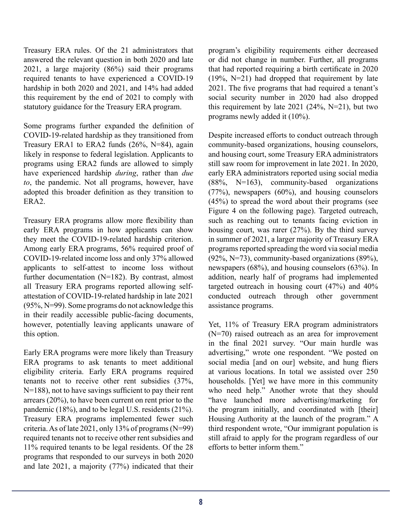Treasury ERA rules. Of the 21 administrators that answered the relevant question in both 2020 and late 2021, a large majority (86%) said their programs required tenants to have experienced a COVID-19 hardship in both 2020 and 2021, and 14% had added this requirement by the end of 2021 to comply with statutory guidance for the Treasury ERA program.

Some programs further expanded the definition of COVID-19-related hardship as they transitioned from Treasury ERA1 to ERA2 funds (26%, N=84), again likely in response to federal legislation. Applicants to programs using ERA2 funds are allowed to simply have experienced hardship *during*, rather than *due to*, the pandemic. Not all programs, however, have adopted this broader definition as they transition to ERA2.

Treasury ERA programs allow more flexibility than early ERA programs in how applicants can show they meet the COVID-19-related hardship criterion. Among early ERA programs, 56% required proof of COVID-19-related income loss and only 37% allowed applicants to self-attest to income loss without further documentation (N=182). By contrast, almost all Treasury ERA programs reported allowing selfattestation of COVID-19-related hardship in late 2021 (95%, N=99). Some programs do not acknowledge this in their readily accessible public-facing documents, however, potentially leaving applicants unaware of this option.

Early ERA programs were more likely than Treasury ERA programs to ask tenants to meet additional eligibility criteria. Early ERA programs required tenants not to receive other rent subsidies (37%, N=188), not to have savings sufficient to pay their rent arrears (20%), to have been current on rent prior to the pandemic (18%), and to be legal U.S. residents (21%). Treasury ERA programs implemented fewer such criteria. As of late 2021, only 13% of programs (N=99) required tenants not to receive other rent subsidies and 11% required tenants to be legal residents. Of the 28 programs that responded to our surveys in both 2020 and late 2021, a majority (77%) indicated that their program's eligibility requirements either decreased or did not change in number. Further, all programs that had reported requiring a birth certificate in 2020 (19%, N=21) had dropped that requirement by late 2021. The five programs that had required a tenant's social security number in 2020 had also dropped this requirement by late  $2021$  ( $24\%$ , N=21), but two programs newly added it (10%).

Despite increased efforts to conduct outreach through community-based organizations, housing counselors, and housing court, some Treasury ERA administrators still saw room for improvement in late 2021. In 2020, early ERA administrators reported using social media  $(88\%, \text{ N} = 163)$ , community-based organizations (77%), newspapers (60%), and housing counselors (45%) to spread the word about their programs (see Figure 4 on the following page). Targeted outreach, such as reaching out to tenants facing eviction in housing court, was rarer (27%). By the third survey in summer of 2021, a larger majority of Treasury ERA programs reported spreading the word via social media  $(92\%, N=73)$ , community-based organizations  $(89\%),$ newspapers (68%), and housing counselors (63%). In addition, nearly half of programs had implemented targeted outreach in housing court (47%) and 40% conducted outreach through other government assistance programs.

Yet, 11% of Treasury ERA program administrators (N=70) raised outreach as an area for improvement in the final 2021 survey. "Our main hurdle was advertising," wrote one respondent. "We posted on social media [and on our] website, and hung fliers at various locations. In total we assisted over 250 households. [Yet] we have more in this community who need help." Another wrote that they should "have launched more advertising/marketing for the program initially, and coordinated with [their] Housing Authority at the launch of the program." A third respondent wrote, "Our immigrant population is still afraid to apply for the program regardless of our efforts to better inform them."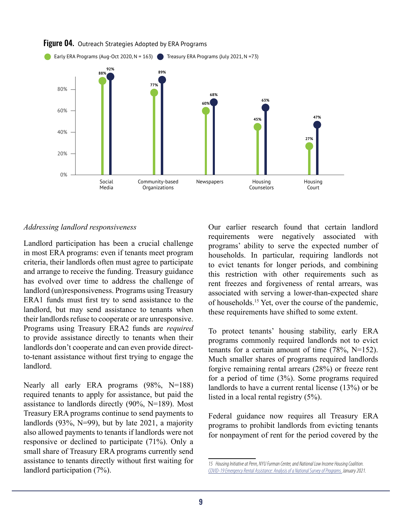

#### **Figure 04.** Outreach Strategies Adopted by ERA Programs

Landlord participation has been a crucial challenge in most ERA programs: even if tenants meet program criteria, their landlords often must agree to participate and arrange to receive the funding. Treasury guidance has evolved over time to address the challenge of landlord (un)responsiveness. Programs using Treasury ERA1 funds must first try to send assistance to the landlord, but may send assistance to tenants when their landlords refuse to cooperate or are unresponsive. Programs using Treasury ERA2 funds are *required* to provide assistance directly to tenants when their landlords don't cooperate and can even provide directto-tenant assistance without first trying to engage the landlord.

Nearly all early ERA programs (98%, N=188) required tenants to apply for assistance, but paid the assistance to landlords directly (90%, N=189). Most Treasury ERA programs continue to send payments to landlords  $(93\%, N=99)$ , but by late 2021, a majority also allowed payments to tenants if landlords were not responsive or declined to participate (71%). Only a small share of Treasury ERA programs currently send assistance to tenants directly without first waiting for landlord participation (7%).

*Addressing landlord responsiveness* Our earlier research found that certain landlord requirements were negatively associated with programs' ability to serve the expected number of households. In particular, requiring landlords not to evict tenants for longer periods, and combining this restriction with other requirements such as rent freezes and forgiveness of rental arrears, was associated with serving a lower-than-expected share of households.15 Yet, over the course of the pandemic, these requirements have shifted to some extent.

> To protect tenants' housing stability, early ERA programs commonly required landlords not to evict tenants for a certain amount of time  $(78\%, N=152)$ . Much smaller shares of programs required landlords forgive remaining rental arrears (28%) or freeze rent for a period of time (3%). Some programs required landlords to have a current rental license (13%) or be listed in a local rental registry (5%).

> Federal guidance now requires all Treasury ERA programs to prohibit landlords from evicting tenants for nonpayment of rent for the period covered by the

*<sup>15</sup> Housing Initiative at Penn, NYU Furman Center, and National Low Income Housing Coalition. [COVID-19 Emergency Rental Assistance: Analysis of a National Survey of Programs.](https://nlihc.org/sites/default/files/HIP_NLIHC_Furman_Brief_FINAL.pdf) January 2021.*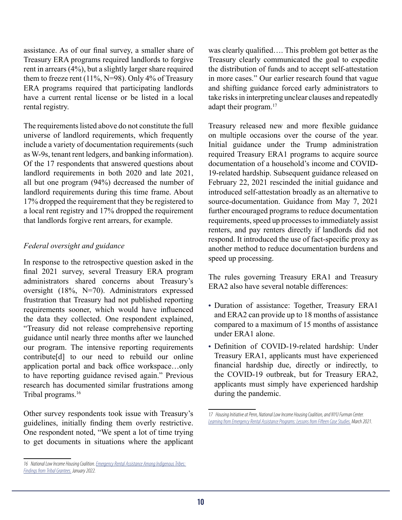assistance. As of our final survey, a smaller share of Treasury ERA programs required landlords to forgive rent in arrears (4%), but a slightly larger share required them to freeze rent  $(11\%, N=98)$ . Only 4% of Treasury ERA programs required that participating landlords have a current rental license or be listed in a local rental registry.

The requirements listed above do not constitute the full universe of landlord requirements, which frequently include a variety of documentation requirements (such as W-9s, tenant rent ledgers, and banking information). Of the 17 respondents that answered questions about landlord requirements in both 2020 and late 2021, all but one program (94%) decreased the number of landlord requirements during this time frame. About 17% dropped the requirement that they be registered to a local rent registry and 17% dropped the requirement that landlords forgive rent arrears, for example.

#### *Federal oversight and guidance*

In response to the retrospective question asked in the final 2021 survey, several Treasury ERA program administrators shared concerns about Treasury's oversight (18%, N=70). Administrators expressed frustration that Treasury had not published reporting requirements sooner, which would have influenced the data they collected. One respondent explained, "Treasury did not release comprehensive reporting guidance until nearly three months after we launched our program. The intensive reporting requirements contribute[d] to our need to rebuild our online application portal and back office workspace…only to have reporting guidance revised again." Previous research has documented similar frustrations among Tribal programs.<sup>16</sup>

Other survey respondents took issue with Treasury's guidelines, initially finding them overly restrictive. One respondent noted, "We spent a lot of time trying to get documents in situations where the applicant was clearly qualified…. This problem got better as the Treasury clearly communicated the goal to expedite the distribution of funds and to accept self-attestation in more cases." Our earlier research found that vague and shifting guidance forced early administrators to take risks in interpreting unclear clauses and repeatedly adapt their program.<sup>17</sup>

Treasury released new and more flexible guidance on multiple occasions over the course of the year. Initial guidance under the Trump administration required Treasury ERA1 programs to acquire source documentation of a household's income and COVID-19-related hardship. Subsequent guidance released on February 22, 2021 rescinded the initial guidance and introduced self-attestation broadly as an alternative to source-documentation. Guidance from May 7, 2021 further encouraged programs to reduce documentation requirements, speed up processes to immediately assist renters, and pay renters directly if landlords did not respond. It introduced the use of fact-specific proxy as another method to reduce documentation burdens and speed up processing.

The rules governing Treasury ERA1 and Treasury ERA2 also have several notable differences:

- **•** Duration of assistance: Together, Treasury ERA1 and ERA2 can provide up to 18 months of assistance compared to a maximum of 15 months of assistance under ERA1 alone.
- **•** Definition of COVID-19-related hardship: Under Treasury ERA1, applicants must have experienced financial hardship due, directly or indirectly, to the COVID-19 outbreak, but for Treasury ERA2, applicants must simply have experienced hardship during the pandemic.

*<sup>16</sup> National Low Income Housing Coalition. [Emergency Rental Assistance Among Indigenous Tribes:](https://nlihc.org/sites/default/files/Emergency-Rental-Assistance-Among-Indigenous-Tribes.pdf)  [Findings from Tribal Grantees.](https://nlihc.org/sites/default/files/Emergency-Rental-Assistance-Among-Indigenous-Tribes.pdf) January 2022.*

*<sup>17</sup> Housing Initiative at Penn, National Low Income Housing Coalition, and NYU Furman Center. [Learning from Emergency Rental Assistance Programs: Lessons from Fifteen Case Studies.](https://nlihc.org/sites/default/files/ERA-Programs-Case-Study.pdf) March 2021.*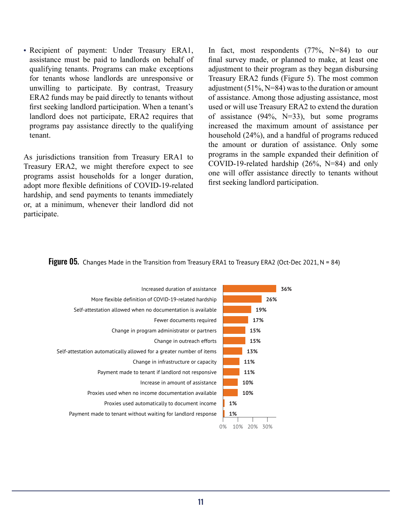**•** Recipient of payment: Under Treasury ERA1, assistance must be paid to landlords on behalf of qualifying tenants. Programs can make exceptions for tenants whose landlords are unresponsive or unwilling to participate. By contrast, Treasury ERA2 funds may be paid directly to tenants without first seeking landlord participation. When a tenant's landlord does not participate, ERA2 requires that programs pay assistance directly to the qualifying tenant.

As jurisdictions transition from Treasury ERA1 to Treasury ERA2, we might therefore expect to see programs assist households for a longer duration, adopt more flexible definitions of COVID-19-related hardship, and send payments to tenants immediately or, at a minimum, whenever their landlord did not participate.

In fact, most respondents (77%, N=84) to our final survey made, or planned to make, at least one adjustment to their program as they began disbursing Treasury ERA2 funds (Figure 5). The most common adjustment  $(51\%, N=84)$  was to the duration or amount of assistance. Among those adjusting assistance, most used or will use Treasury ERA2 to extend the duration of assistance  $(94\%, N=33)$ , but some programs increased the maximum amount of assistance per household (24%), and a handful of programs reduced the amount or duration of assistance. Only some programs in the sample expanded their definition of COVID-19-related hardship (26%, N=84) and only one will offer assistance directly to tenants without first seeking landlord participation.

#### **Figure 05.** Changes Made in the Transition from Treasury ERA1 to Treasury ERA2 (Oct-Dec 2021, N = 84)

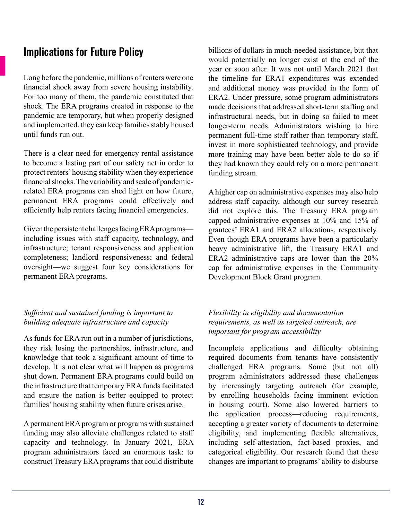## Implications for Future Policy

Long before the pandemic, millions of renters were one financial shock away from severe housing instability. For too many of them, the pandemic constituted that shock. The ERA programs created in response to the pandemic are temporary, but when properly designed and implemented, they can keep families stably housed until funds run out.

There is a clear need for emergency rental assistance to become a lasting part of our safety net in order to protect renters' housing stability when they experience financial shocks. The variability and scale of pandemicrelated ERA programs can shed light on how future, permanent ERA programs could effectively and efficiently help renters facing financial emergencies.

Given the persistent challenges facing ERA programs including issues with staff capacity, technology, and infrastructure; tenant responsiveness and application completeness; landlord responsiveness; and federal oversight—we suggest four key considerations for permanent ERA programs.

#### *Sufficient and sustained funding is important to building adequate infrastructure and capacity*

As funds for ERA run out in a number of jurisdictions, they risk losing the partnerships, infrastructure, and knowledge that took a significant amount of time to develop. It is not clear what will happen as programs shut down. Permanent ERA programs could build on the infrastructure that temporary ERA funds facilitated and ensure the nation is better equipped to protect families' housing stability when future crises arise.

A permanent ERA program or programs with sustained funding may also alleviate challenges related to staff capacity and technology. In January 2021, ERA program administrators faced an enormous task: to construct Treasury ERA programs that could distribute billions of dollars in much-needed assistance, but that would potentially no longer exist at the end of the year or soon after. It was not until March 2021 that the timeline for ERA1 expenditures was extended and additional money was provided in the form of ERA2. Under pressure, some program administrators made decisions that addressed short-term staffing and infrastructural needs, but in doing so failed to meet longer-term needs. Administrators wishing to hire permanent full-time staff rather than temporary staff, invest in more sophisticated technology, and provide more training may have been better able to do so if they had known they could rely on a more permanent funding stream.

A higher cap on administrative expenses may also help address staff capacity, although our survey research did not explore this. The Treasury ERA program capped administrative expenses at 10% and 15% of grantees' ERA1 and ERA2 allocations, respectively. Even though ERA programs have been a particularly heavy administrative lift, the Treasury ERA1 and ERA2 administrative caps are lower than the 20% cap for administrative expenses in the Community Development Block Grant program.

#### *Flexibility in eligibility and documentation requirements, as well as targeted outreach, are important for program accessibility*

Incomplete applications and difficulty obtaining required documents from tenants have consistently challenged ERA programs. Some (but not all) program administrators addressed these challenges by increasingly targeting outreach (for example, by enrolling households facing imminent eviction in housing court). Some also lowered barriers to the application process—reducing requirements, accepting a greater variety of documents to determine eligibility, and implementing flexible alternatives, including self-attestation, fact-based proxies, and categorical eligibility. Our research found that these changes are important to programs' ability to disburse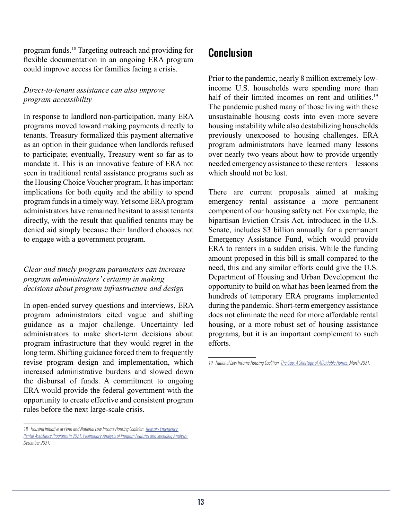program funds.18 Targeting outreach and providing for flexible documentation in an ongoing ERA program could improve access for families facing a crisis.

#### *Direct-to-tenant assistance can also improve program accessibility*

In response to landlord non-participation, many ERA programs moved toward making payments directly to tenants. Treasury formalized this payment alternative as an option in their guidance when landlords refused to participate; eventually, Treasury went so far as to mandate it. This is an innovative feature of ERA not seen in traditional rental assistance programs such as the Housing Choice Voucher program. It has important implications for both equity and the ability to spend program funds in a timely way. Yet some ERA program administrators have remained hesitant to assist tenants directly, with the result that qualified tenants may be denied aid simply because their landlord chooses not to engage with a government program.

#### *Clear and timely program parameters can increase program administrators' certainty in making decisions about program infrastructure and design*

In open-ended survey questions and interviews, ERA program administrators cited vague and shifting guidance as a major challenge. Uncertainty led administrators to make short-term decisions about program infrastructure that they would regret in the long term. Shifting guidance forced them to frequently revise program design and implementation, which increased administrative burdens and slowed down the disbursal of funds. A commitment to ongoing ERA would provide the federal government with the opportunity to create effective and consistent program rules before the next large-scale crisis.

### Conclusion

Prior to the pandemic, nearly 8 million extremely lowincome U.S. households were spending more than half of their limited incomes on rent and utilities.<sup>19</sup> The pandemic pushed many of those living with these unsustainable housing costs into even more severe housing instability while also destabilizing households previously unexposed to housing challenges. ERA program administrators have learned many lessons over nearly two years about how to provide urgently needed emergency assistance to these renters—lessons which should not be lost.

There are current proposals aimed at making emergency rental assistance a more permanent component of our housing safety net. For example, the bipartisan Eviction Crisis Act, introduced in the U.S. Senate, includes \$3 billion annually for a permanent Emergency Assistance Fund, which would provide ERA to renters in a sudden crisis. While the funding amount proposed in this bill is small compared to the need, this and any similar efforts could give the U.S. Department of Housing and Urban Development the opportunity to build on what has been learned from the hundreds of temporary ERA programs implemented during the pandemic. Short-term emergency assistance does not eliminate the need for more affordable rental housing, or a more robust set of housing assistance programs, but it is an important complement to such efforts.

<sup>18</sup> Housing Initiative at Penn and National Low Income Housing Coalition. *Treasury Emergency [Rental Assistance Programs in 2021: Preliminary Analysis of Program Features and Spending Analysis.](https://www.housinginitiative.org/uploads/1/3/2/9/132946414/2021_treasury_era_program_features_and_spending_report.pdf) December 2021.*

*<sup>19</sup> National Low Income Housing Coalition. [The Gap: A Shortage of Affordable Homes.](https://reports.nlihc.org/sites/default/files/gap/Gap-Report_2021.pdf) March 2021.*